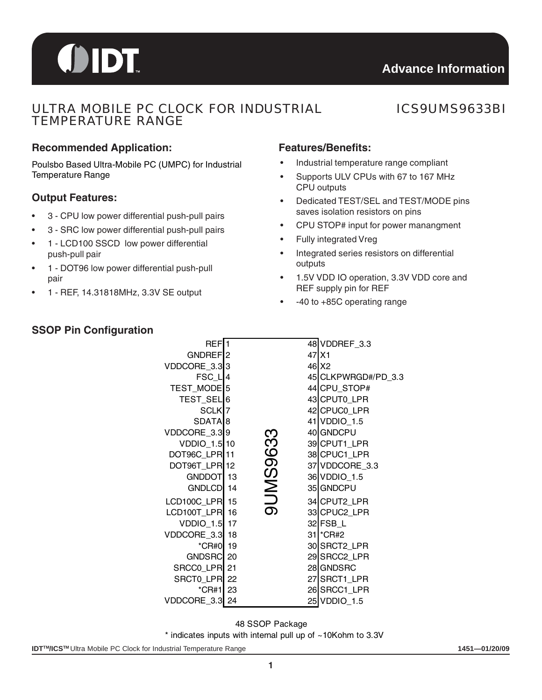# OIDT

## ULTRA MOBILE PC CLOCK FOR INDUSTRIAL TEMPERATURE RANGE

## ICS9UMS9633BI

#### **Recommended Application: Features/Benefits:**

Poulsbo Based Ultra-Mobile PC (UMPC) for Industrial Temperature Range

#### **Output Features:**

- 3 CPU low power differential push-pull pairs
- 3 SRC low power differential push-pull pairs
- 1 LCD100 SSCD low power differential push-pull pair
- 1 DOT96 low power differential push-pull pair
- 1 REF, 14.31818MHz, 3.3V SE output

- Industrial temperature range compliant
- Supports ULV CPUs with 67 to 167 MHz CPU outputs
- Dedicated TEST/SEL and TEST/MODE pins saves isolation resistors on pins
- CPU STOP# input for power manangment
- Fully integrated Vreg
- Integrated series resistors on differential outputs
- 1.5V VDD IO operation, 3.3V VDD core and REF supply pin for REF
- -40 to +85C operating range

| REF <sub>1</sub>        |                 | 48 VDDREF_3.3       |
|-------------------------|-----------------|---------------------|
| GNDREF <sub>2</sub>     |                 | $47$ $X1$           |
| VDDCORE_3.333           |                 | 46 X2               |
| FSC L4                  |                 | 45 CLKPWRGD#/PD_3.3 |
| TEST_MODE <sup>15</sup> |                 | 44 CPU_STOP#        |
| TEST_SEL <sup>6</sup>   |                 | 43 CPUT0_LPR        |
| SCLK <sub>7</sub>       |                 | 42 CPUC0_LPR        |
| SDATA <sub>8</sub>      |                 | 41 VDDIO_1.5        |
| VDDCORE_3.39            |                 | 40 GNDCPU           |
| VDDIO_1.5 10            |                 | 39 CPUT1_LPR        |
| DOT96C_LPR11            |                 | 38 CPUC1_LPR        |
| DOT96T_LPR12            |                 | 37 VDDCORE 3.3      |
| GNDDOT <sup>1</sup> 3   |                 | 36 VDDIO_1.5        |
| GNDLCD 14               |                 | 35 GNDCPU           |
| <b>LCD100C LPR</b> 15   | <b>9UMS9633</b> | 34 CPUT2 LPR        |
| LCD100T_LPR 16          |                 | 33 CPUC2 LPR        |
| VDDIO_1.5 17            |                 | 32 FSB_L            |
| VDDCORE 3.3 18          |                 | 31 * CR#2           |
| <i>*</i> CR#0 19        |                 | 30 SRCT2_LPR        |
| GNDSRC 20               |                 | 29 SRCC2 LPR        |
| SRCCO_LPR 21            |                 | 28 GNDSRC           |
| SRCTO LPR 22            |                 | 27 SRCT1_LPR        |
| *CR#1 23                |                 | 26 SRCC1_LPR        |
| VDDCORE_3.3 24          |                 | 25 VDDIO_1.5        |

48 SSOP Package

\* indicates inputs with internal pull up of ~10Kohm to 3.3V

#### **IDT™/ICS™** Ultra Mobile PC Clock for Industrial Temperature Range **1451—01/20/09 1451—01/20/09**

#### **SSOP Pin Configuration**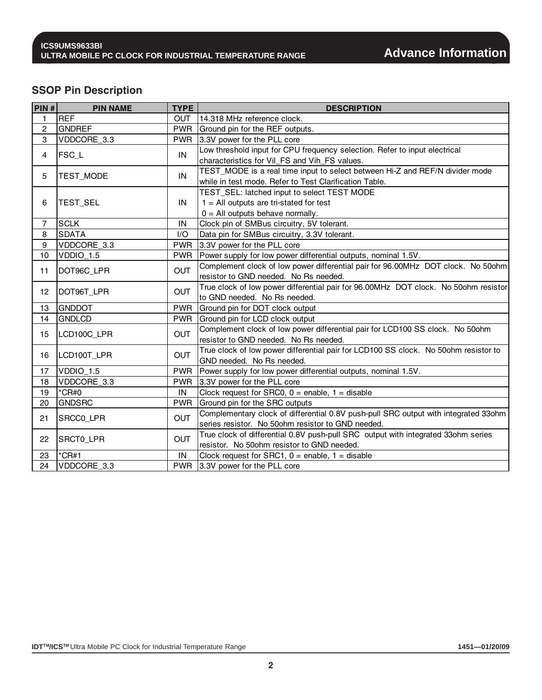### **SSOP Pin Description**

| PIN#           | <b>PIN NAME</b> | <b>TYPE</b> | <b>DESCRIPTION</b>                                                                  |
|----------------|-----------------|-------------|-------------------------------------------------------------------------------------|
| 1              | <b>REF</b>      | <b>OUT</b>  | 14.318 MHz reference clock.                                                         |
| 2              | <b>GNDREF</b>   | <b>PWR</b>  | Ground pin for the REF outputs.                                                     |
| 3              | VDDCORE_3.3     | <b>PWR</b>  | 3.3V power for the PLL core                                                         |
| 4              | <b>FSC_L</b>    | IN          | Low threshold input for CPU frequency selection. Refer to input electrical          |
|                |                 |             | characteristics for Vil_FS and Vih_FS values.                                       |
| 5              | TEST_MODE       | IN          | TEST_MODE is a real time input to select between Hi-Z and REF/N divider mode        |
|                |                 |             | while in test mode. Refer to Test Clarification Table.                              |
|                |                 |             | TEST_SEL: latched input to select TEST MODE                                         |
| 6              | TEST_SEL        | IN          | $1 =$ All outputs are tri-stated for test                                           |
|                |                 |             | $0 =$ All outputs behave normally.                                                  |
| $\overline{7}$ | <b>SCLK</b>     | IN          | Clock pin of SMBus circuitry, 5V tolerant.                                          |
| 8              | <b>SDATA</b>    | I/O         | Data pin for SMBus circuitry, 3.3V tolerant.                                        |
| 9              | VDDCORE 3.3     | <b>PWR</b>  | 3.3V power for the PLL core                                                         |
| 10             | VDDIO_1.5       | <b>PWR</b>  | Power supply for low power differential outputs, nominal 1.5V.                      |
| 11             | DOT96C_LPR      | <b>OUT</b>  | Complement clock of low power differential pair for 96.00MHz DOT clock. No 50ohm    |
|                |                 |             | resistor to GND needed. No Rs needed.                                               |
| 12             | DOT96T_LPR      | <b>OUT</b>  | True clock of low power differential pair for 96.00MHz DOT clock. No 50ohm resistor |
|                |                 |             | to GND needed. No Rs needed.                                                        |
| 13             | <b>GNDDOT</b>   | <b>PWR</b>  | Ground pin for DOT clock output                                                     |
| 14             | <b>GNDLCD</b>   | <b>PWR</b>  | Ground pin for LCD clock output                                                     |
| 15             | LCD100C_LPR     | <b>OUT</b>  | Complement clock of low power differential pair for LCD100 SS clock. No 50ohm       |
|                |                 |             | resistor to GND needed. No Rs needed.                                               |
| 16             | LCD100T_LPR     | <b>OUT</b>  | True clock of low power differential pair for LCD100 SS clock. No 50ohm resistor to |
|                |                 |             | GND needed. No Rs needed.                                                           |
| 17             | VDDIO_1.5       | <b>PWR</b>  | Power supply for low power differential outputs, nominal 1.5V.                      |
| 18             | VDDCORE_3.3     | <b>PWR</b>  | 3.3V power for the PLL core                                                         |
| 19             | $*$ CR#0        | IN          | Clock request for SRC0, $0 =$ enable, $1 =$ disable                                 |
| 20             | <b>GNDSRC</b>   | <b>PWR</b>  | Ground pin for the SRC outputs                                                      |
| 21             | SRCC0_LPR       | <b>OUT</b>  | Complementary clock of differential 0.8V push-pull SRC output with integrated 33ohm |
|                |                 |             | series resistor. No 50ohm resistor to GND needed.                                   |
| 22             | SRCT0_LPR       | <b>OUT</b>  | True clock of differential 0.8V push-pull SRC output with integrated 33ohm series   |
|                |                 |             | resistor. No 50ohm resistor to GND needed.                                          |
| 23             | $^*$ CR#1       | IN          | Clock request for SRC1, $0 =$ enable, $1 =$ disable                                 |
| 24             | VDDCORE 3.3     |             | PWR 3.3V power for the PLL core                                                     |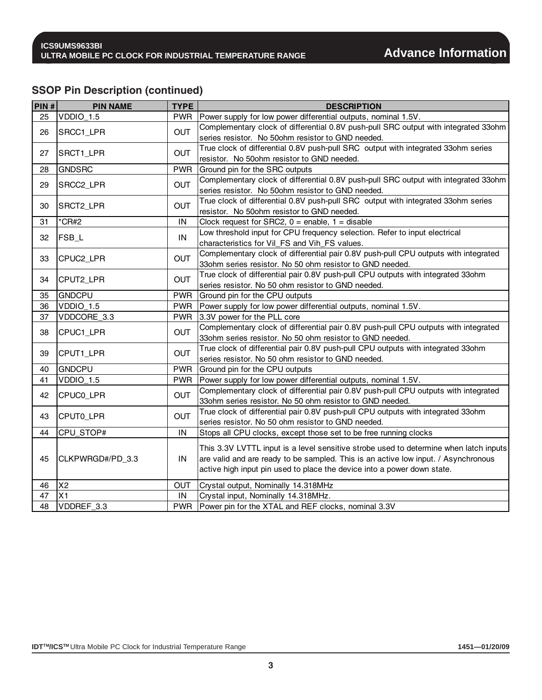## **SSOP Pin Description (continued)**

| PIN# | <b>PIN NAME</b>    | <b>TYPE</b> | <b>DESCRIPTION</b>                                                                    |
|------|--------------------|-------------|---------------------------------------------------------------------------------------|
| 25   | VDDIO_1.5          | <b>PWR</b>  | Power supply for low power differential outputs, nominal 1.5V.                        |
| 26   | SRCC1_LPR          | <b>OUT</b>  | Complementary clock of differential 0.8V push-pull SRC output with integrated 33ohm   |
|      |                    |             | series resistor. No 50ohm resistor to GND needed.                                     |
| 27   | SRCT1_LPR          | <b>OUT</b>  | True clock of differential 0.8V push-pull SRC output with integrated 33ohm series     |
|      |                    |             | resistor. No 50ohm resistor to GND needed.                                            |
| 28   | <b>GNDSRC</b>      | <b>PWR</b>  | Ground pin for the SRC outputs                                                        |
| 29   | SRCC2_LPR          | <b>OUT</b>  | Complementary clock of differential 0.8V push-pull SRC output with integrated 33ohm   |
|      |                    |             | series resistor. No 50ohm resistor to GND needed.                                     |
| 30   | SRCT2_LPR          | <b>OUT</b>  | True clock of differential 0.8V push-pull SRC output with integrated 33ohm series     |
|      |                    |             | resistor. No 50ohm resistor to GND needed.                                            |
| 31   | $*$ CR#2           | IN          | Clock request for SRC2, $0 =$ enable, $1 =$ disable                                   |
| 32   | FSB_L              | IN          | Low threshold input for CPU frequency selection. Refer to input electrical            |
|      |                    |             | characteristics for Vil_FS and Vih_FS values.                                         |
| 33   | CPUC2_LPR          | <b>OUT</b>  | Complementary clock of differential pair 0.8V push-pull CPU outputs with integrated   |
|      |                    |             | 33ohm series resistor. No 50 ohm resistor to GND needed.                              |
| 34   | CPUT2_LPR          | <b>OUT</b>  | True clock of differential pair 0.8V push-pull CPU outputs with integrated 33ohm      |
|      |                    |             | series resistor. No 50 ohm resistor to GND needed.                                    |
| 35   | <b>GNDCPU</b>      | <b>PWR</b>  | Ground pin for the CPU outputs                                                        |
| 36   | VDDIO_1.5          | <b>PWR</b>  | Power supply for low power differential outputs, nominal 1.5V.                        |
| 37   | VDDCORE_3.3        | <b>PWR</b>  | 3.3V power for the PLL core                                                           |
| 38   | CPUC1_LPR          | <b>OUT</b>  | Complementary clock of differential pair 0.8V push-pull CPU outputs with integrated   |
|      |                    |             | 33ohm series resistor. No 50 ohm resistor to GND needed.                              |
| 39   | CPUT1_LPR          | <b>OUT</b>  | True clock of differential pair 0.8V push-pull CPU outputs with integrated 33ohm      |
|      |                    |             | series resistor. No 50 ohm resistor to GND needed.                                    |
| 40   | <b>GNDCPU</b>      | <b>PWR</b>  | Ground pin for the CPU outputs                                                        |
| 41   | VDDIO_1.5          | <b>PWR</b>  | Power supply for low power differential outputs, nominal 1.5V.                        |
| 42   | CPUC0_LPR          | <b>OUT</b>  | Complementary clock of differential pair 0.8V push-pull CPU outputs with integrated   |
|      |                    |             | 33ohm series resistor. No 50 ohm resistor to GND needed.                              |
| 43   | CPUTO_LPR          | <b>OUT</b>  | True clock of differential pair 0.8V push-pull CPU outputs with integrated 33ohm      |
|      |                    |             | series resistor. No 50 ohm resistor to GND needed.                                    |
| 44   | CPU_STOP#          | IN          | Stops all CPU clocks, except those set to be free running clocks                      |
|      |                    |             | This 3.3V LVTTL input is a level sensitive strobe used to determine when latch inputs |
| 45   | CLKPWRGD#/PD_3.3   | IN          | are valid and are ready to be sampled. This is an active low input. / Asynchronous    |
|      |                    |             | active high input pin used to place the device into a power down state.               |
|      |                    |             |                                                                                       |
| 46   | X <sub>2</sub>     | <b>OUT</b>  | Crystal output, Nominally 14.318MHz                                                   |
| 47   | X1                 | IN          | Crystal input, Nominally 14.318MHz.                                                   |
| 48   | <b>IVDDREF 3.3</b> | <b>PWR</b>  | Power pin for the XTAL and REF clocks, nominal 3.3V                                   |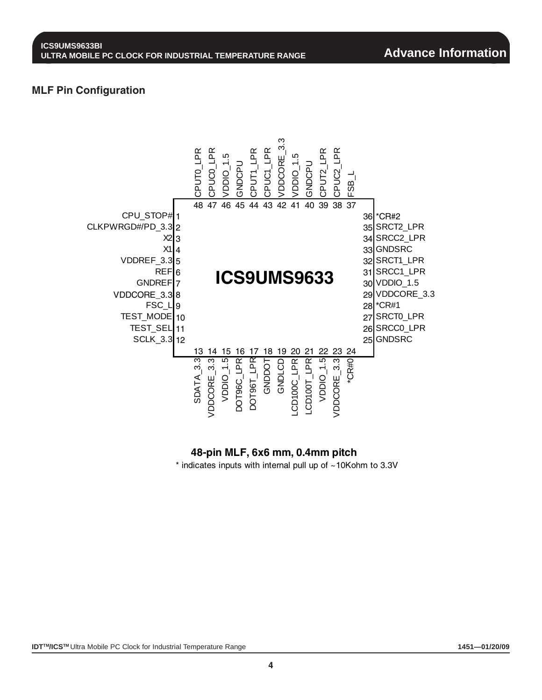#### **MLF Pin Configuration**



#### **48-pin MLF, 6x6 mm, 0.4mm pitch**

 $*$  indicates inputs with internal pull up of  $~10K$ ohm to 3.3V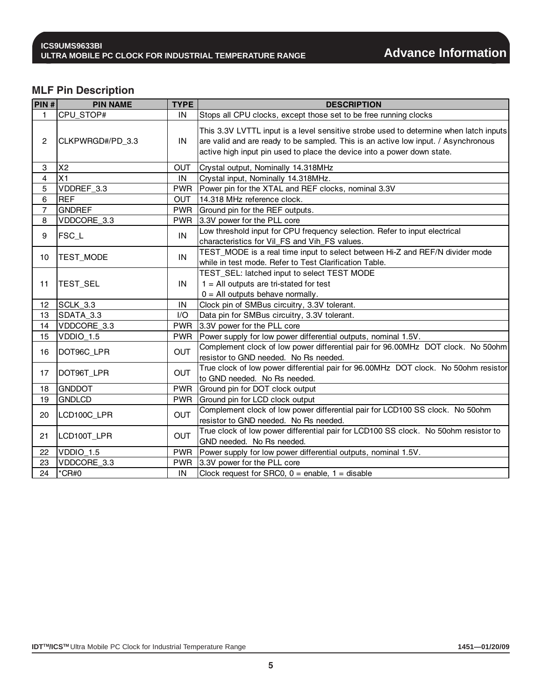### **MLF Pin Description**

| PIN#             | <b>PIN NAME</b>  | <b>TYPE</b> | <b>DESCRIPTION</b>                                                                                                                                                                                                                                     |
|------------------|------------------|-------------|--------------------------------------------------------------------------------------------------------------------------------------------------------------------------------------------------------------------------------------------------------|
| 1                | CPU_STOP#        | IN          | Stops all CPU clocks, except those set to be free running clocks                                                                                                                                                                                       |
| $\overline{2}$   | CLKPWRGD#/PD 3.3 | IN          | This 3.3V LVTTL input is a level sensitive strobe used to determine when latch inputs<br>are valid and are ready to be sampled. This is an active low input. / Asynchronous<br>active high input pin used to place the device into a power down state. |
| 3                | X <sub>2</sub>   | <b>OUT</b>  | Crystal output, Nominally 14.318MHz                                                                                                                                                                                                                    |
| 4                | X1               | IN          | Crystal input, Nominally 14.318MHz.                                                                                                                                                                                                                    |
| 5                | VDDREF_3.3       | <b>PWR</b>  | Power pin for the XTAL and REF clocks, nominal 3.3V                                                                                                                                                                                                    |
| 6                | <b>REF</b>       | <b>OUT</b>  | 14.318 MHz reference clock.                                                                                                                                                                                                                            |
| $\overline{7}$   | <b>GNDREF</b>    | <b>PWR</b>  | Ground pin for the REF outputs.                                                                                                                                                                                                                        |
| 8                | VDDCORE_3.3      | <b>PWR</b>  | 3.3V power for the PLL core                                                                                                                                                                                                                            |
| 9                | <b>FSC L</b>     | IN          | Low threshold input for CPU frequency selection. Refer to input electrical<br>characteristics for Vil_FS and Vih_FS values.                                                                                                                            |
| 10 <sup>10</sup> | <b>TEST MODE</b> | IN          | TEST_MODE is a real time input to select between Hi-Z and REF/N divider mode<br>while in test mode. Refer to Test Clarification Table.                                                                                                                 |
| 11               | TEST_SEL         | IN          | TEST_SEL: latched input to select TEST MODE<br>$1 =$ All outputs are tri-stated for test<br>$0 =$ All outputs behave normally.                                                                                                                         |
| 12               | SCLK_3.3         | IN          | Clock pin of SMBus circuitry, 3.3V tolerant.                                                                                                                                                                                                           |
| 13               | SDATA 3.3        | I/O         | Data pin for SMBus circuitry, 3.3V tolerant.                                                                                                                                                                                                           |
| 14               | VDDCORE_3.3      | <b>PWR</b>  | 3.3V power for the PLL core                                                                                                                                                                                                                            |
| 15               | VDDIO_1.5        | <b>PWR</b>  | Power supply for low power differential outputs, nominal 1.5V.                                                                                                                                                                                         |
| 16               | DOT96C_LPR       | <b>OUT</b>  | Complement clock of low power differential pair for 96.00MHz DOT clock. No 50ohm<br>resistor to GND needed. No Rs needed.                                                                                                                              |
| 17               | DOT96T_LPR       | <b>OUT</b>  | True clock of low power differential pair for 96.00MHz DOT clock. No 50ohm resistor<br>to GND needed. No Rs needed.                                                                                                                                    |
| 18               | <b>GNDDOT</b>    | <b>PWR</b>  | Ground pin for DOT clock output                                                                                                                                                                                                                        |
| 19               | <b>GNDLCD</b>    | <b>PWR</b>  | Ground pin for LCD clock output                                                                                                                                                                                                                        |
| 20               | LCD100C_LPR      | <b>OUT</b>  | Complement clock of low power differential pair for LCD100 SS clock. No 50ohm<br>resistor to GND needed. No Rs needed.                                                                                                                                 |
| 21               | LCD100T_LPR      | <b>OUT</b>  | True clock of low power differential pair for LCD100 SS clock. No 50ohm resistor to<br>GND needed. No Rs needed.                                                                                                                                       |
| 22               | $VDDO_1.5$       | <b>PWR</b>  | Power supply for low power differential outputs, nominal 1.5V.                                                                                                                                                                                         |
| 23               | VDDCORE_3.3      | <b>PWR</b>  | 3.3V power for the PLL core                                                                                                                                                                                                                            |
| 24               | $*$ CR#0         | IN          | Clock request for SRC0, $0 =$ enable, $1 =$ disable                                                                                                                                                                                                    |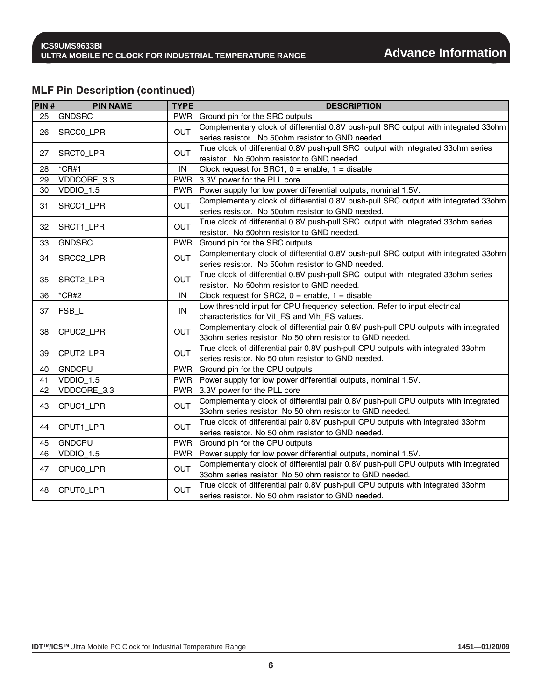## **MLF Pin Description (continued)**

| PIN#            | <b>PIN NAME</b>         | <b>TYPE</b> | <b>DESCRIPTION</b>                                                                  |
|-----------------|-------------------------|-------------|-------------------------------------------------------------------------------------|
| 25              | <b>GNDSRC</b>           | <b>PWR</b>  | Ground pin for the SRC outputs                                                      |
| 26              | SRCCO_LPR               | <b>OUT</b>  | Complementary clock of differential 0.8V push-pull SRC output with integrated 33ohm |
|                 |                         |             | series resistor. No 50ohm resistor to GND needed.                                   |
| 27              | <b>OUT</b><br>SRCT0_LPR |             | True clock of differential 0.8V push-pull SRC output with integrated 33ohm series   |
|                 |                         |             | resistor. No 50ohm resistor to GND needed.                                          |
| 28              | $*$ CR#1                | IN          | Clock request for SRC1, $0 =$ enable, $1 =$ disable                                 |
| 29              | VDDCORE_3.3             | <b>PWR</b>  | 3.3V power for the PLL core                                                         |
| 30              | VDDIO_1.5               | <b>PWR</b>  | Power supply for low power differential outputs, nominal 1.5V.                      |
| 31              | SRCC1_LPR               | <b>OUT</b>  | Complementary clock of differential 0.8V push-pull SRC output with integrated 33ohm |
|                 |                         |             | series resistor. No 50ohm resistor to GND needed.                                   |
| 32              | SRCT1_LPR               | <b>OUT</b>  | True clock of differential 0.8V push-pull SRC output with integrated 33ohm series   |
|                 |                         |             | resistor. No 50ohm resistor to GND needed.                                          |
| 33              | <b>GNDSRC</b>           | <b>PWR</b>  | Ground pin for the SRC outputs                                                      |
| 34              | SRCC2_LPR               | <b>OUT</b>  | Complementary clock of differential 0.8V push-pull SRC output with integrated 33ohm |
|                 |                         |             | series resistor. No 50ohm resistor to GND needed.                                   |
| 35              | SRCT2_LPR               | <b>OUT</b>  | True clock of differential 0.8V push-pull SRC output with integrated 33ohm series   |
|                 |                         |             | resistor. No 50ohm resistor to GND needed.                                          |
| 36              | $^*$ CR#2               | IN          | Clock request for SRC2, $0 =$ enable, $1 =$ disable                                 |
| 37              | $FSB_l$                 | IN          | Low threshold input for CPU frequency selection. Refer to input electrical          |
|                 |                         |             | characteristics for Vil_FS and Vih_FS values.                                       |
| 38              | CPUC2_LPR               | <b>OUT</b>  | Complementary clock of differential pair 0.8V push-pull CPU outputs with integrated |
|                 |                         |             | 33ohm series resistor. No 50 ohm resistor to GND needed.                            |
| 39              | CPUT2_LPR               | OUT         | True clock of differential pair 0.8V push-pull CPU outputs with integrated 33ohm    |
|                 |                         |             | series resistor. No 50 ohm resistor to GND needed.                                  |
| 40              | <b>GNDCPU</b>           | <b>PWR</b>  | Ground pin for the CPU outputs                                                      |
| 41              | VDDIO_1.5               | <b>PWR</b>  | Power supply for low power differential outputs, nominal 1.5V.                      |
| 42              | VDDCORE_3.3             | <b>PWR</b>  | 3.3V power for the PLL core                                                         |
| 43              | CPUC1_LPR               | <b>OUT</b>  | Complementary clock of differential pair 0.8V push-pull CPU outputs with integrated |
|                 |                         |             | 33ohm series resistor. No 50 ohm resistor to GND needed.                            |
| 44              | CPUT1_LPR               | OUT         | True clock of differential pair 0.8V push-pull CPU outputs with integrated 33ohm    |
|                 |                         |             | series resistor. No 50 ohm resistor to GND needed.                                  |
| 45              | <b>GNDCPU</b>           | <b>PWR</b>  | Ground pin for the CPU outputs                                                      |
| 46              | VDDIO_1.5               | <b>PWR</b>  | Power supply for low power differential outputs, nominal 1.5V.                      |
| 47<br>CPUC0_LPR |                         | <b>OUT</b>  | Complementary clock of differential pair 0.8V push-pull CPU outputs with integrated |
|                 |                         |             | 33ohm series resistor. No 50 ohm resistor to GND needed.                            |
| 48              | CPUT0_LPR               | <b>OUT</b>  | True clock of differential pair 0.8V push-pull CPU outputs with integrated 33ohm    |
|                 |                         |             | series resistor. No 50 ohm resistor to GND needed.                                  |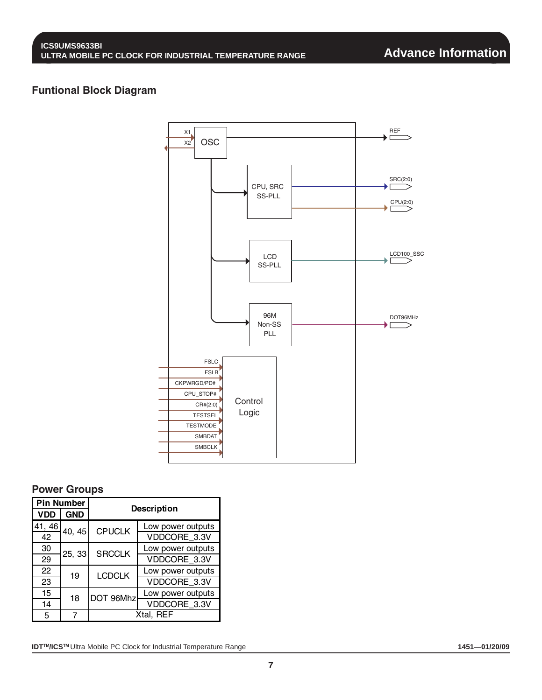#### **Funtional Block Diagram**



#### **Power Groups**

| <b>Pin Number</b> |            |               |                    |  |  |  |  |  |
|-------------------|------------|---------------|--------------------|--|--|--|--|--|
| <b>VDD</b>        | <b>GND</b> |               | <b>Description</b> |  |  |  |  |  |
| 41, 46            | 40, 45     | <b>CPUCLK</b> | Low power outputs  |  |  |  |  |  |
| 42                |            |               | VDDCORE_3.3V       |  |  |  |  |  |
| 30                | 25, 33     | <b>SRCCLK</b> | Low power outputs  |  |  |  |  |  |
| 29                |            |               | VDDCORE 3.3V       |  |  |  |  |  |
| 22                | 19         | <b>LCDCLK</b> | Low power outputs  |  |  |  |  |  |
| 23                |            |               | VDDCORE 3.3V       |  |  |  |  |  |
| 15                | 18         | DOT 96Mhz     | Low power outputs  |  |  |  |  |  |
| 14                |            |               | VDDCORE 3.3V       |  |  |  |  |  |
| 5                 |            |               | Xtal. REF          |  |  |  |  |  |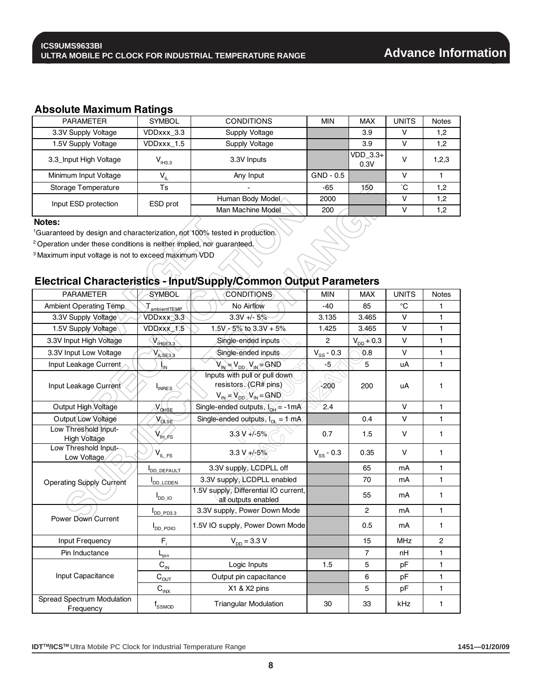#### **Absolute Maximum Ratings**

| <b>PARAMETER</b>       | <b>SYMBOL</b>      | <b>CONDITIONS</b> | <b>MIN</b>  | <b>MAX</b>         | <b>UNITS</b> | <b>Notes</b> |
|------------------------|--------------------|-------------------|-------------|--------------------|--------------|--------------|
| 3.3V Supply Voltage    | VDDxxx 3.3         | Supply Voltage    |             | 3.9                |              | 1,2          |
| 1.5V Supply Voltage    | VDDxxx 1.5         | Supply Voltage    |             | 3.9                | v            | 1,2          |
| 3.3_Input High Voltage | V <sub>1H3.3</sub> | 3.3V Inputs       |             | $VDD$ 3.3+<br>0.3V | v            | 1,2,3        |
| Minimum Input Voltage  | V"                 | Any Input         | $GND - 0.5$ |                    |              |              |
| Storage Temperature    | Ts                 |                   | -65         | 150                | °С           | 1,2          |
| Input ESD protection   | ESD prot           | Human Body Model  | 2000        |                    |              | 1,2          |
|                        |                    | Man Machine Model | 200         |                    |              | 1,2          |

#### **Notes:**

1Guaranteed by design and characterization, not 100% tested in production.

2 Operation under these conditions is neither implied, nor guaranteed.

3 Maximum input voltage is not to exceed maximum VDD

## **Electrical Characteristics - Input/Supply/Common Output Parameters**

| <b>PARAMETER</b>                               | <b>SYMBOL</b>                             | <b>CONDITIONS</b>                                                                            | <b>MIN</b>     | <b>MAX</b>     | <b>UNITS</b> | <b>Notes</b>   |
|------------------------------------------------|-------------------------------------------|----------------------------------------------------------------------------------------------|----------------|----------------|--------------|----------------|
| <b>Ambient Operating Temp</b>                  | $\mathsf{\Gamma}_{\mathsf{ambientITEMP}}$ | No Airflow                                                                                   | -40            | 85             | °C           | 1              |
| 3.3V Supply Voltage                            | VDDxxx_3.3                                | $3.3V + 5%$                                                                                  | 3.135          | 3.465          | $\vee$       | $\mathbf{1}$   |
| 1.5V Supply Voltage                            | VDDxxx_1.5                                | 1.5V - 5% to $3.3V + 5%$                                                                     | 1.425          | 3.465          | V            | $\mathbf{1}$   |
| 3.3V Input High Voltage                        | $V_{HSE3.3}$                              | Single-ended inputs                                                                          | $\overline{2}$ | $V_{DD} + 0.3$ | $\vee$       | $\mathbf{1}$   |
| 3.3V Input Low Voltage                         | $V_{ILSE3,3}$                             | Single-ended inputs                                                                          | $V_{SS}$ - 0.3 | 6.0            | $\vee$       | $\mathbf{1}$   |
| Input Leakage Current                          | Ĵм                                        | $V_{IN} = V_{DD}$ , $V_{IN} = GND$                                                           | $-5$           | 5              | uA           | $\mathbf{1}$   |
| Input Leakage Current                          | $I_{INRES}$                               | Inputs with pull or pull down<br>resistors. (CR# pins)<br>$V_{IN} = V_{DD}$ , $V_{IN} = GND$ | $-200$         | 200            | uA           | 1              |
| Output High Voltage                            | VOHSE                                     | Single-ended outputs, $I_{OH} = -1mA$                                                        | 2.4            |                | V            | $\mathbf{1}$   |
| Output Low Voltage                             | $V_{OLSE}$                                | Single-ended outputs, $I_{\alpha} = 1$ mA                                                    |                | 0.4            | V            | $\mathbf{1}$   |
| Low Threshold Input-<br><b>High Voltage</b>    | V <sub>IH</sub> <sub>FS</sub>             | $3.3V + 5%$                                                                                  | 0.7            | 1.5            | V            | 1              |
| Low Threshold Input-<br>Low Voltage            | $\mathsf{V}_{\mathsf{IL\_FS}}$            | $3.3 V + 5%$                                                                                 | $V_{SS}$ - 0.3 | 0.35           | V            | $\mathbf{1}$   |
|                                                | DD_DEFAULT                                | 3.3V supply, LCDPLL off                                                                      |                | 65             | mA           | $\mathbf{1}$   |
| <b>Operating Supply Current</b>                | <b>I</b> DD LCDEN                         | 3.3V supply, LCDPLL enabled                                                                  |                | 70             | mA           | $\mathbf{1}$   |
|                                                | $I_{DD_1O}$                               | 1.5V supply, Differential IO current,<br>all outputs enabled                                 |                | 55             | mA           | $\mathbf{1}$   |
|                                                | $I_{DD_PD3.3}$                            | 3.3V supply, Power Down Mode                                                                 |                | $\overline{2}$ | mA           | $\mathbf{1}$   |
| Power Down Current                             | <b>I</b> DD PDIO                          | 1.5V IO supply, Power Down Mode                                                              |                | 0.5            | mA           | $\mathbf{1}$   |
| Input Frequency                                | $F_i$                                     | $V_{DD} = 3.3 V$                                                                             |                | 15             | <b>MHz</b>   | $\overline{2}$ |
| Pin Inductance                                 | $L_{\text{pin}}$                          |                                                                                              |                | $\overline{7}$ | nH           | $\mathbf{1}$   |
|                                                | $\mathbf{C}_\text{IN}$                    | Logic Inputs                                                                                 | 1.5            | 5              | pF           | $\mathbf{1}$   |
| Input Capacitance                              | $C_{OUT}$                                 | Output pin capacitance                                                                       |                | 6              | pF           | $\mathbf{1}$   |
|                                                | $C_{INX}$                                 | X1 & X2 pins                                                                                 |                | 5              | pF           | $\mathbf{1}$   |
| <b>Spread Spectrum Modulation</b><br>Frequency | $f_{SSMOD}$                               | <b>Triangular Modulation</b>                                                                 | 30             | 33             | kHz          | 1              |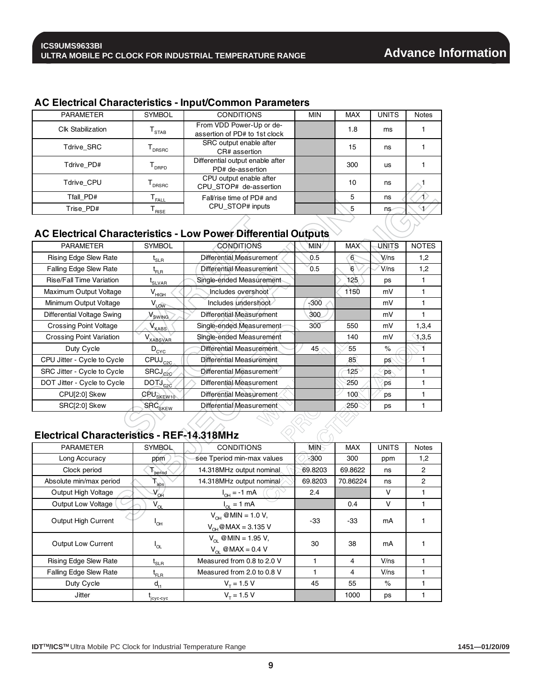#### **AC Electrical Characteristics - Input/Common Parameters**

| <b>PARAMETER</b>         | SYMBOL                       | <b>CONDITIONS</b>                                         | <b>MIN</b> | <b>MAX</b> | <b>UNITS</b> | <b>Notes</b> |
|--------------------------|------------------------------|-----------------------------------------------------------|------------|------------|--------------|--------------|
| <b>Clk Stabilization</b> | STAB                         | From VDD Power-Up or de-<br>assertion of PD# to 1st clock |            | 1.8        | ms           |              |
| Tdrive SRC               | DRSRC                        | SRC output enable after<br>CR# assertion                  |            | 15         | ns           |              |
| Tdrive PD#               | <b>DRPD</b>                  | Differential output enable after<br>PD# de-assertion      |            | 300        | us           |              |
| Tdrive CPU               | DRSRC                        | CPU output enable after<br>CPU STOP# de-assertion         |            | 10         | ns           |              |
| Tfall PD#                | $\mathsf{T}_{\mathsf{FALL}}$ | Fall/rise time of PD# and                                 |            | 5          | ns           |              |
| Trise PD#                | <b>RISE</b>                  | CPU STOP# inputs                                          |            | 5          | ns∕          |              |

## **AC Electrical Characteristics - Low Power Differential Outputs**

| <b>PARAMETER</b>                  | <b>SYMBOL</b>                  | <b>CONDITIONS</b>               | MIN    | <b>MAX</b>  | UNITS     | <b>NOTES</b> |
|-----------------------------------|--------------------------------|---------------------------------|--------|-------------|-----------|--------------|
| <b>Rising Edge Slew Rate</b>      | $\mathfrak{r}_{\texttt{SLR}}$  | Differential Measurement        | 0.5    | 6           | V/ns      | 1,2          |
| <b>Falling Edge Slew Rate</b>     | $\mathfrak{r}_{\texttt{FLR}}$  | Differential Measurement        | 0.5    | 6           | $V$ /ns   | 1,2          |
| <b>Rise/Fall Time Variation</b>   | <sup>l</sup> SLVAR             | Single-ended Measurement        |        | 125         | ps        |              |
| Maximum Output Voltage            | $V_{HIGH}$                     | Includes overshoot              |        | 1150        | mV        |              |
| Minimum Output Voltage            | $V_{LOW}$                      | Includes undershoot             | $-300$ |             | mV        |              |
| <b>Differential Voltage Swing</b> | Swing                          | <b>Differential Measurement</b> | 300    |             | mV        |              |
| <b>Crossing Point Voltage</b>     | $V_{XABS}$                     | Single-ended Measurement        | 300    | 550         | mV        | 1,3,4        |
| <b>Crossing Point Variation</b>   | V <sub>XABSVAR</sub>           | Single-ended Measurement        |        | 140         | mV        | 1,3.5        |
| Duty Cycle                        | $D_{\text{CYC}}$               | Differential Measurement        | 45     | 55          | $\%$      |              |
| CPU Jitter - Cycle to Cycle       | $CPUJ_{C2C}$                   | Differential Measurement        |        | 85          | ps.       |              |
| SRC Jitter - Cycle to Cycle       | $SRCJ_{c20}$                   | Differential Measurement        |        | $125^\circ$ | `ps       |              |
| DOT Jitter - Cycle to Cycle       | DOTJ <sub>C2C</sub>            | Differential Measurement        |        | 250         | <b>DS</b> |              |
| CPU[2:0] Skew                     | CPU <sub>SKEW10</sub>          | Differential Measurement        |        | 100         | ps        |              |
| SRC[2:0] Skew                     | $\textsf{SRC}_{\textsf{SKEW}}$ | Differential Measurement        |        | 250         | ps        |              |

#### **Electrical Characteristics - REF-14.318MHz**

| <b>PARAMETER</b>             | <b>SYMBOL</b>                    | <b>CONDITIONS</b>                                        | <b>MIN</b> | <b>MAX</b> | <b>UNITS</b> | <b>Notes</b> |
|------------------------------|----------------------------------|----------------------------------------------------------|------------|------------|--------------|--------------|
| Long Accuracy                | ppm                              | see Tperiod min-max values                               | $-300$     | 300        | ppm          | 1,2          |
| Clock period                 | period                           | 14.318MHz output nominal                                 | 69.8203    | 69.8622    | ns           | 2            |
| Absolute min/max period      | $T_{\rm abs}$                    | 14.318MHz output nominal                                 | 69.8203    | 70.86224   | ns           | 2            |
| <b>Output High Voltage</b>   | $V_{\text{OH}}$                  | $I_{OH} = -1$ mA                                         | 2.4        |            | v            |              |
| <b>Output Low Voltage</b>    | $V_{OL}$                         | $I_{\odot} = 1$ mA                                       |            | 0.4        | v            |              |
| Output High Current          | $I_{OH}$                         | $V_{OH}$ @ MIN = 1.0 V,<br>$V_{OH}$ @ MAX = 3.135 V      | -33        | -33        | mA           |              |
| Output Low Current           | $I_{OL}$                         | $V_{\Omega}$ @ MIN = 1.95 V,<br>$V_{\odot}$ @MAX = 0.4 V | 30         | 38         | mA           |              |
| <b>Rising Edge Slew Rate</b> | $\mathfrak{t}_{\texttt{SLR}}$    | Measured from 0.8 to 2.0 V                               |            | 4          | V/ns         |              |
| Falling Edge Slew Rate       | $\mathfrak{t}_{\texttt{FLR}}^{}$ | Measured from 2.0 to 0.8 V                               |            | 4          | V/ns         |              |
| Duty Cycle                   | $d_{t1}$                         | $V_{\tau}$ = 1.5 V                                       | 45         | 55         | $\%$         |              |
| Jitter                       | licyc-cyc                        | $V_{\tau} = 1.5 V$                                       |            | 1000       | ps           |              |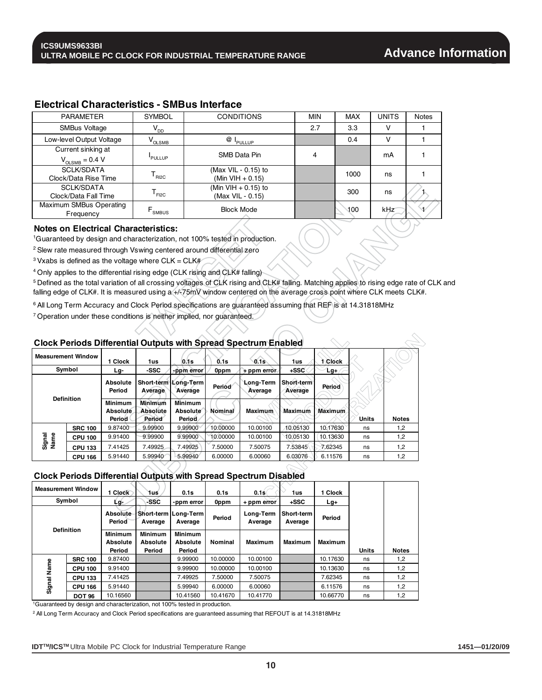| <b>PARAMETER</b>         | <b>SYMBOL</b>                                         | <b>CONDITIONS</b>            | <b>MIN</b> | <b>MAX</b> | <b>UNITS</b> | <b>Notes</b> |
|--------------------------|-------------------------------------------------------|------------------------------|------------|------------|--------------|--------------|
| <b>SMBus Voltage</b>     | $V_{DD}$                                              |                              | 2.7        | 3.3        | v            |              |
| Low-level Output Voltage | $\rm V_{OLSMB}$                                       | @ I <sub>p<u>ullu</u>p</sub> |            | 0.4        | v            |              |
| Current sinking at       |                                                       |                              |            |            |              |              |
| $V_{OLSMB} = 0.4 V$      | <b>PULLUP</b>                                         | SMB Data Pin                 | 4          |            | mA           |              |
| <b>SCLK/SDATA</b>        |                                                       | (Max VIL - 0.15) to          |            | 1000       | ns           |              |
| Clock/Data Rise Time     | R12C                                                  | (Min VIH $+$ 0.15)           |            |            |              |              |
| SCLK/SDATA               |                                                       | (Min VIH $+$ 0.15) to        |            | 300        | ns           |              |
| Clock/Data Fall Time     | $\mathsf{\Gamma}_{\mathsf{F} \mathsf{I} \mathsf{2C}}$ | (Max VIL - 0.15)             |            |            |              |              |
| Maximum SMBus Operating  |                                                       | <b>Block Mode</b>            |            | 100        | kHz          |              |
| Frequency                | .<br>SMBUS                                            |                              |            |            |              |              |

#### **Electrical Characteristics - SMBus Interface**

#### **Notes on Electrical Characteristics:**

1Guaranteed by design and characterization, not 100% tested in production.

2 Slew rate measured through Vswing centered around differential zero

 $3$  Vxabs is defined as the voltage where CLK = CLK#

4 Only applies to the differential rising edge (CLK rising and CLK# falling)

<sup>5</sup> Defined as the total variation of all crossing voltages of CLK rising and CLK# falling. Matching applies to rising edge rate of CLK and falling edge of CLK#. It is measured using a +/-75mV window centered on the average cross point where CLK meets CLK#.

6 All Long Term Accuracy and Clock Period specifications are guaranteed assuming that REF is at 14.31818MHz

7 Operation under these conditions is neither implied, nor guaranteed.

#### **Clock Periods Differential Outputs with Spread Spectrum Enabled**

| <b>Measurement Window</b> |                | 1 Clock                              | 1us                           | 0.1s                                        | 0.1s     | $0.1$ s                     | 1us                   | Clock          |              |              |
|---------------------------|----------------|--------------------------------------|-------------------------------|---------------------------------------------|----------|-----------------------------|-----------------------|----------------|--------------|--------------|
|                           | Symbol         | Lg-                                  | -SSC                          | -ppm error                                  | 0ppm     | $+$ ppm error.              | $+SSC$                | $Lg+$          |              |              |
| <b>Definition</b>         |                | Absolute<br>Period                   | Average                       | Short-term Long-Term<br>Average             | Period   | <b>Long-Term</b><br>Average | Short-term<br>Average | Period         |              |              |
|                           |                | <b>Minimum</b><br>Absoluté<br>Period | Minimum<br>Absolute<br>Period | <b>Minimum</b><br>Absolute<br><b>Period</b> | Nominal  | <b>Maximum</b>              | Maximum               | <b>Maximum</b> | <b>Units</b> | <b>Notes</b> |
|                           | <b>SRC 100</b> | 9.87400                              | 9.99900                       | 9.99900                                     | 10.00000 | 10.00100                    | 10.05130              | 10.17630       | ns           | 1,2          |
| Signal<br>Name            | <b>CPU 100</b> | 9.91400                              | 9.99900                       | 9.99900                                     | 10.00000 | 10.00100                    | 10.05130              | 10.13630       | ns           | 1,2          |
|                           | <b>CPU 133</b> | 7.41425                              | 7.49925                       | 7.49925                                     | 7.50000  | 7.50075                     | 7.53845               | 7.62345        | ns           | 1,2          |
|                           | <b>CPU 166</b> | 5.91440                              | 5.99940                       | 5.99940                                     | 6.00000  | 6.00060                     | 6.03076               | 6.11576        | ns           | 1,2          |

#### **Clock Periods Differential Outputs with Spread Spectrum Disabled**

| Signal<br>Name                                                                         | <b>CPU 100</b>            | 9.91400                              | 9.99900                                     | 9.99900                              | 10.00000 | 10.00100                                                                | 10.05130              | 10.13630       | ns           | 1,2          |
|----------------------------------------------------------------------------------------|---------------------------|--------------------------------------|---------------------------------------------|--------------------------------------|----------|-------------------------------------------------------------------------|-----------------------|----------------|--------------|--------------|
|                                                                                        | <b>CPU 133</b>            | 7.41425                              | 7.49925                                     | 7.49925                              | 7.50000  | 7.50075                                                                 | 7.53845               | 7.62345        | ns           | 1,2          |
|                                                                                        | <b>CPU 166</b>            | 5.91440                              | 5.99940                                     | 5.99940                              | 6.00000  | 6.00060                                                                 | 6.03076               | 6.11576        | ns           | 1,2          |
|                                                                                        |                           |                                      |                                             |                                      |          | <b>Clock Periods Differential Outputs with Spread Spectrum Disabled</b> |                       |                |              |              |
|                                                                                        | <b>Measurement Window</b> | 1 Clock                              | 1us                                         | 0.1s                                 | 0.1s     | $0.1$ s $($                                                             | 1us                   | 1 Clock        |              |              |
|                                                                                        | Symbol                    | Lq-                                  | -SSC                                        | -ppm error                           | 0ppm     | + ppm error                                                             | +SSC                  | Lg+            |              |              |
|                                                                                        |                           |                                      | Average                                     | Short-term   Long-Term<br>Average    | Period   | Long-Term<br>Average                                                    | Short-term<br>Average | Period         |              |              |
|                                                                                        | <b>Definition</b>         | <b>Minimum</b><br>Absolute<br>Period | <b>Minimum</b><br><b>Absolute</b><br>Period | <b>Minimum</b><br>Absolute<br>Period | Nominal  | <b>Maximum</b>                                                          | Maximum               | <b>Maximum</b> | <b>Units</b> | <b>Notes</b> |
|                                                                                        | <b>SRC 100</b>            | 9.87400                              |                                             | 9.99900                              | 10.00000 | 10.00100                                                                |                       | 10.17630       | ns           | 1,2          |
| Signal Name                                                                            | <b>CPU 100</b>            | 9.91400                              |                                             | 9.99900                              | 10.00000 | 10.00100                                                                |                       | 10.13630       | ns           | 1,2          |
|                                                                                        | <b>CPU 133</b>            | 7.41425                              |                                             | 7.49925                              | 7.50000  | 7.50075                                                                 |                       | 7.62345        | ns           | 1,2          |
|                                                                                        | <b>CPU 166</b>            | 5.91440                              |                                             | 5.99940                              | 6.00000  | 6.00060                                                                 |                       | 6.11576        | ns           | 1,2          |
|                                                                                        | <b>DOT 96</b>             | 10.16560                             |                                             | 10.41560                             | 10.41670 | 10.41770                                                                |                       | 10.66770       | ns           | 1,2          |
| <sup>1</sup> Guaranteed by design and characterization, not 100% tested in production. |                           |                                      |                                             |                                      |          |                                                                         |                       |                |              |              |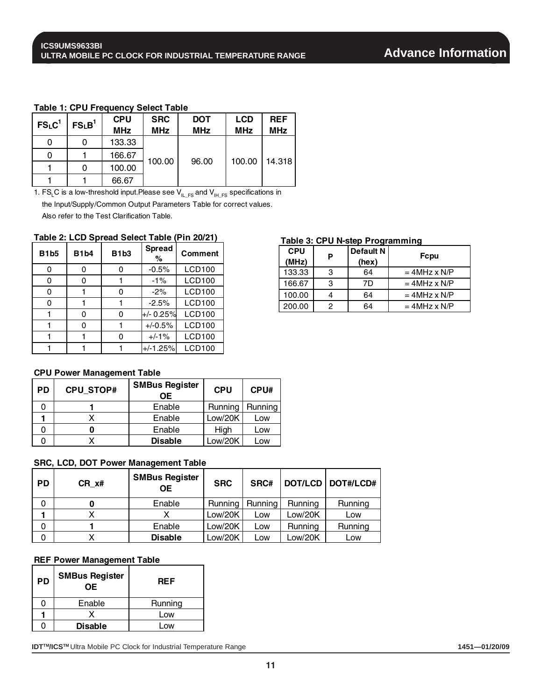#### **Table 1: CPU Frequency Select Table**

| FS <sub>L</sub> C <sup>1</sup> | FS <sub>L</sub> B <sup>1</sup> | <b>CPU</b> | <b>SRC</b> | <b>DOT</b> | <b>LCD</b> | <b>REF</b> |
|--------------------------------|--------------------------------|------------|------------|------------|------------|------------|
|                                |                                | <b>MHz</b> | <b>MHz</b> | <b>MHz</b> | <b>MHz</b> | <b>MHz</b> |
|                                |                                | 133.33     |            |            |            |            |
|                                |                                | 166.67     |            |            | 100.00     |            |
|                                |                                | 100.00     | 100.00     | 96.00      |            | 14.318     |
|                                |                                | 66.67      |            |            |            |            |

1. FS<sub>L</sub>C is a low-threshold input.Please see  $V_{I L_F S}$  and  $V_{I H_F S}$  specifications in the Input/Supply/Common Output Parameters Table for correct values. Also refer to the Test Clarification Table.

#### **Table 2: LCD Spread Select Table (Pin 20/21)**

| <b>B1b5</b> | <b>B1b4</b> | <b>B1b3</b> | <b>Spread</b><br>$\%$ | <b>Comment</b> |
|-------------|-------------|-------------|-----------------------|----------------|
| ი           | 0           | ი           | $-0.5%$               | <b>LCD100</b>  |
| ი           | 0           |             | $-1%$                 | <b>LCD100</b>  |
|             |             |             | $-2%$                 | <b>LCD100</b>  |
|             |             |             | $-2.5%$               | <b>LCD100</b>  |
|             |             |             | $+/- 0.25%$           | <b>LCD100</b>  |
|             | ი           |             | $+/-0.5%$             | <b>LCD100</b>  |
|             |             | ი           | $+/-1%$               | <b>LCD100</b>  |
|             |             |             | $+/-1.25%$            | <b>LCD100</b>  |

#### **CPU Power Management Table**

| <b>PD</b> | <b>CPU STOP#</b> | <b>SMBus Register</b><br>OΕ | <b>CPU</b> | CPU#    |
|-----------|------------------|-----------------------------|------------|---------|
|           |                  | Enable                      | Running    | Running |
|           |                  | Enable                      | Low/20K    | Low     |
|           |                  | Enable                      | High       | Low     |
|           |                  | <b>Disable</b>              | Low/20K    | Low     |

#### **SRC, LCD, DOT Power Management Table**

| <b>PD</b> | CR x# | <b>SMBus Register</b><br><b>OE</b> | <b>SRC</b> | SRC#           |         | DOT/LCD   DOT#/LCD# |
|-----------|-------|------------------------------------|------------|----------------|---------|---------------------|
| 0         |       | Enable                             | Running    | <b>Running</b> | Running | Running             |
|           |       |                                    | Low/20K    | Low            | Low/20K | Low                 |
| 0         |       | Enable                             | Low/20K    | LOW            | Running | Running             |
| 0         |       | <b>Disable</b>                     | Low/20K    | LOW            | Low/20K | Low                 |

#### **REF Power Management Table**

| PD | <b>SMBus Register</b><br><b>OE</b> | <b>REF</b> |
|----|------------------------------------|------------|
|    | Enable                             | Running    |
|    |                                    | Low        |
|    | <b>Disable</b>                     | $-OW$      |

**IDT™/ICS™** Ultra Mobile PC Clock for Industrial Temperature Range **1451—01/20/09 1451—01/20/09** 

#### **Table 3: CPU N-step Programming**

| <b>CPU</b><br>(MHz) | Р | <b>Default N</b><br>(hex) | <b>Fcpu</b>    |
|---------------------|---|---------------------------|----------------|
| 133.33              | 3 | 64                        | $=$ 4MHz x N/P |
| 166.67              | 3 | 7D                        | $=$ 4MHz x N/P |
| 100.00              |   | 64                        | $=$ 4MHz x N/P |
| 200.00              | っ | 64                        | $=$ 4MHz x N/P |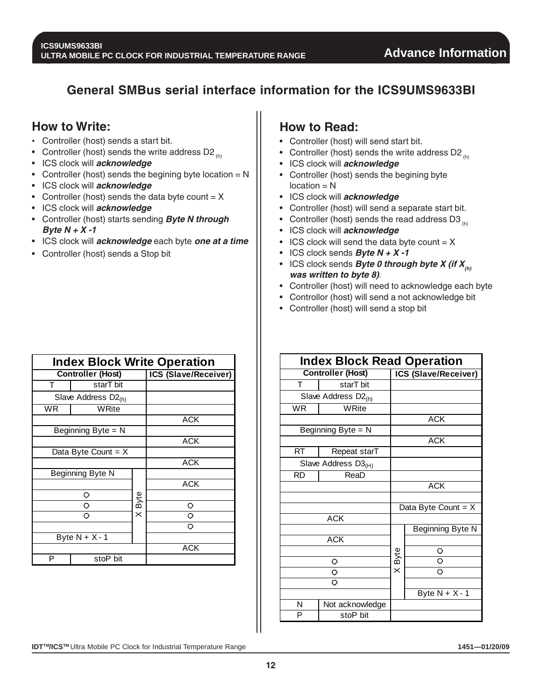## **General SMBus serial interface information for the ICS9UMS9633BI**

## **How to Write:**

- Controller (host) sends a start bit.
- Controller (host) sends the write address D2 $_{(h)}$
- ICS clock will **acknowledge**
- Controller (host) sends the begining byte location  $= N$
- ICS clock will **acknowledge**
- Controller (host) sends the data byte count  $= X$
- ICS clock will **acknowledge**
- Controller (host) starts sending **Byte N through Byte N + X -1**
- ICS clock will **acknowledge** each byte **one at a time**
- Controller (host) sends a Stop bit

|           | <b>Index Block Write Operation</b> |                      |            |  |  |  |  |
|-----------|------------------------------------|----------------------|------------|--|--|--|--|
|           | <b>Controller (Host)</b>           | ICS (Slave/Receiver) |            |  |  |  |  |
| т         | starT bit                          |                      |            |  |  |  |  |
|           | Slave Address D <sub>2(h)</sub>    |                      |            |  |  |  |  |
| <b>WR</b> | WRite                              |                      |            |  |  |  |  |
|           |                                    |                      | <b>ACK</b> |  |  |  |  |
|           | Beginning Byte = $N$               |                      |            |  |  |  |  |
|           |                                    |                      | <b>ACK</b> |  |  |  |  |
|           | Data Byte Count = $X$              |                      |            |  |  |  |  |
|           |                                    |                      | <b>ACK</b> |  |  |  |  |
|           | Beginning Byte N                   |                      |            |  |  |  |  |
|           |                                    |                      | ACK        |  |  |  |  |
|           | O                                  |                      |            |  |  |  |  |
|           | ◇                                  | X Byte               | $\circ$    |  |  |  |  |
|           | O                                  |                      | Ō          |  |  |  |  |
|           |                                    |                      | O          |  |  |  |  |
|           | Byte $N + X - 1$                   |                      |            |  |  |  |  |
|           |                                    |                      | <b>ACK</b> |  |  |  |  |
| P         | stoP bit                           |                      |            |  |  |  |  |

## **How to Read:**

- Controller (host) will send start bit.
- Controller (host) sends the write address D2 $_{(h)}$
- ICS clock will **acknowledge**
- Controller (host) sends the begining byte  $location = N$
- ICS clock will **acknowledge**
- Controller (host) will send a separate start bit.
- Controller (host) sends the read address D3 $_{(h)}$
- ICS clock will **acknowledge**
- ICS clock will send the data byte count  $= X$
- ICS clock sends **Byte N + X -1**
- ICS clock sends **Byte 0 through byte X (if**  $X_{(h)}$ **) was written to byte 8)**.
- Controller (host) will need to acknowledge each byte
- Controllor (host) will send a not acknowledge bit
- Controller (host) will send a stop bit

|           | <b>Index Block Read Operation</b> |        |                       |  |  |  |
|-----------|-----------------------------------|--------|-----------------------|--|--|--|
|           | <b>Controller (Host)</b>          |        | ICS (Slave/Receiver)  |  |  |  |
| T         | starT bit                         |        |                       |  |  |  |
|           | Slave Address D <sub>2(h)</sub>   |        |                       |  |  |  |
| <b>WR</b> | WRite                             |        |                       |  |  |  |
|           |                                   |        | <b>ACK</b>            |  |  |  |
|           | Beginning Byte = N                |        |                       |  |  |  |
|           |                                   |        | <b>ACK</b>            |  |  |  |
| <b>RT</b> | Repeat starT                      |        |                       |  |  |  |
|           | Slave Address D3 <sub>(H)</sub>   |        |                       |  |  |  |
| <b>RD</b> | ReaD                              |        |                       |  |  |  |
|           |                                   |        | <b>ACK</b>            |  |  |  |
|           |                                   |        |                       |  |  |  |
|           |                                   |        | Data Byte Count = $X$ |  |  |  |
|           | <b>ACK</b>                        |        |                       |  |  |  |
|           |                                   |        | Beginning Byte N      |  |  |  |
|           | <b>ACK</b>                        |        |                       |  |  |  |
|           |                                   |        | $\circ$               |  |  |  |
|           | $\circ$                           | X Byte | $\overline{\circ}$    |  |  |  |
|           | $\overline{\circ}$                |        | $\circ$               |  |  |  |
|           | $\overline{\circ}$                |        |                       |  |  |  |
|           |                                   |        | Byte $N + X - 1$      |  |  |  |
| N         | Not acknowledge                   |        |                       |  |  |  |
| P         | stoP bit                          |        |                       |  |  |  |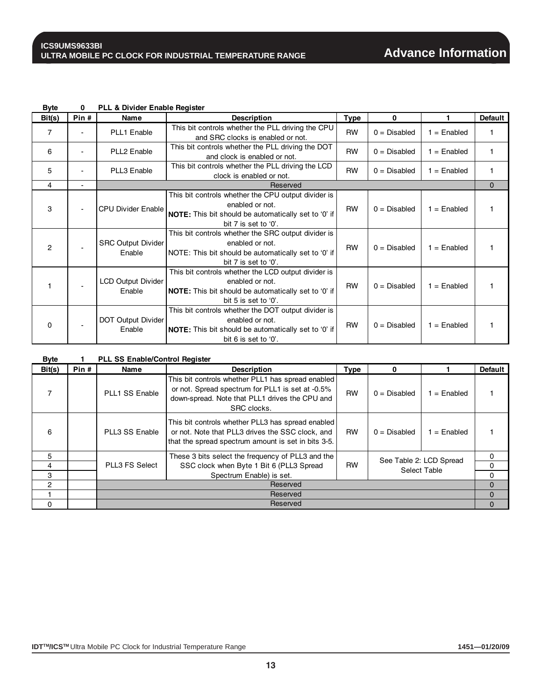| Bit(s)         | Pin # | Name                                | <b>Description</b>                                                                                                                                               | <b>Type</b> | 0              |               | <b>Default</b> |
|----------------|-------|-------------------------------------|------------------------------------------------------------------------------------------------------------------------------------------------------------------|-------------|----------------|---------------|----------------|
| $\overline{7}$ |       | PLL1 Enable                         | This bit controls whether the PLL driving the CPU<br>and SRC clocks is enabled or not.                                                                           | <b>RW</b>   | $0 = Disabled$ | $1 =$ Enabled |                |
| 6              |       | PLL2 Enable                         | This bit controls whether the PLL driving the DOT<br>and clock is enabled or not.                                                                                | <b>RW</b>   | $0 = Disabled$ | $1 =$ Enabled |                |
| 5              |       | PLL3 Enable                         | This bit controls whether the PLL driving the LCD<br>clock is enabled or not.                                                                                    | <b>RW</b>   | $0 = Disabled$ | $1 =$ Enabled |                |
| 4              |       |                                     | Reserved                                                                                                                                                         |             |                |               | $\Omega$       |
| 3              |       | <b>CPU Divider Enable</b>           | This bit controls whether the CPU output divider is<br>enabled or not.<br><b>NOTE:</b> This bit should be automatically set to '0' if<br>bit 7 is set to '0'.    | <b>RW</b>   | $0 = Disabled$ | $1 =$ Enabled |                |
| $\overline{2}$ |       | <b>SRC Output Divider</b><br>Enable | This bit controls whether the SRC output divider is<br>enabled or not.<br>NOTE: This bit should be automatically set to '0' if<br>bit 7 is set to '0'.           | <b>RW</b>   | $0 = Disable$  | $1 =$ Enabled |                |
|                |       | LCD Output Divider<br>Enable        | This bit controls whether the LCD output divider is<br>enabled or not.<br><b>NOTE:</b> This bit should be automatically set to '0' if<br>bit 5 is set to $'0'$ . | <b>RW</b>   | $0 = Disabled$ | $1 =$ Enabled |                |
| $\Omega$       |       | DOT Output Divider<br>Enable        | This bit controls whether the DOT output divider is<br>enabled or not.<br><b>NOTE:</b> This bit should be automatically set to '0' if<br>bit 6 is set to '0'.    | <b>RW</b>   | $0 = Disabled$ | $1 =$ Enabled |                |

**Byte 0 PLL & Divider Enable Register**

| <b>Byte</b>   |       | <b>PLL SS Enable/Control Register</b> |                                                                                                                                                                        |             |                |                                         |                |
|---------------|-------|---------------------------------------|------------------------------------------------------------------------------------------------------------------------------------------------------------------------|-------------|----------------|-----------------------------------------|----------------|
| Bit(s)        | Pin # | Name                                  | <b>Description</b>                                                                                                                                                     | <b>Type</b> | $\mathbf{0}$   |                                         | <b>Default</b> |
|               |       | PLL1 SS Enable                        | This bit controls whether PLL1 has spread enabled<br>or not. Spread spectrum for PLL1 is set at -0.5%<br>down-spread. Note that PLL1 drives the CPU and<br>SRC clocks. | <b>RW</b>   | $0 = Disabled$ | $=$ Enabled                             |                |
| 6             |       | PLL3 SS Enable                        | This bit controls whether PLL3 has spread enabled<br>or not. Note that PLL3 drives the SSC clock, and<br>that the spread spectrum amount is set in bits 3-5.           | <b>RW</b>   | $0 = Disabled$ | $1 =$ Enabled                           |                |
| 5             |       |                                       | These 3 bits select the frequency of PLL3 and the                                                                                                                      |             |                |                                         | 0              |
| 4             |       | <b>PLL3 FS Select</b>                 | SSC clock when Byte 1 Bit 6 (PLL3 Spread                                                                                                                               | <b>RW</b>   |                | See Table 2: LCD Spread<br>Select Table | 0              |
| 3             |       |                                       | Spectrum Enable) is set.                                                                                                                                               |             |                |                                         | 0              |
| $\mathcal{P}$ |       |                                       | Reserved                                                                                                                                                               |             |                |                                         | $\Omega$       |
|               |       |                                       | Reserved                                                                                                                                                               |             |                |                                         | 0              |
| $\Omega$      |       |                                       | Reserved                                                                                                                                                               |             |                |                                         | $\Omega$       |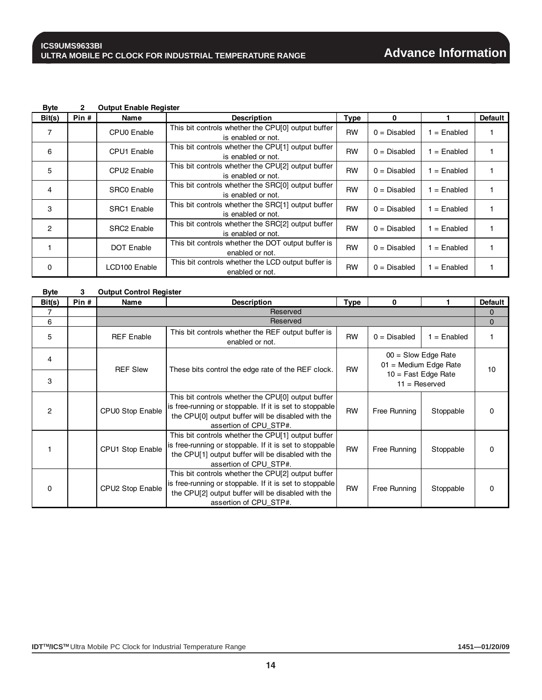## **Advance Information**

| <b>Output Enable Register</b><br><b>Byte</b> |
|----------------------------------------------|
|----------------------------------------------|

| Bit(s)         | Pin# | Name                    | <b>Description</b>                                                       | <b>Type</b> | $\Omega$       |               | <b>Default</b> |
|----------------|------|-------------------------|--------------------------------------------------------------------------|-------------|----------------|---------------|----------------|
| 7              |      | CPU0 Enable             | This bit controls whether the CPU[0] output buffer<br>is enabled or not. | <b>RW</b>   | $0 = Disable$  | $=$ Enabled   |                |
| 6              |      | CPU1 Enable             | This bit controls whether the CPU[1] output buffer<br>is enabled or not. | <b>RW</b>   | $0 = Disable$  | $1 =$ Enabled |                |
| 5              |      | CPU <sub>2</sub> Enable | This bit controls whether the CPU[2] output buffer<br>is enabled or not. | <b>RW</b>   | $0 = Disabled$ | $=$ Enabled   |                |
| 4              |      | <b>SRCO Enable</b>      | This bit controls whether the SRC[0] output buffer<br>is enabled or not. | <b>RW</b>   | $0 = Disable$  | $1 =$ Enabled |                |
| 3              |      | <b>SRC1</b> Enable      | This bit controls whether the SRC[1] output buffer<br>is enabled or not. | <b>RW</b>   | $0 = Disabled$ | $1 =$ Enabled |                |
| $\mathfrak{p}$ |      | <b>SRC2 Enable</b>      | This bit controls whether the SRC[2] output buffer<br>is enabled or not. | <b>RW</b>   | $0 = Disabled$ | $=$ Enabled   |                |
|                |      | <b>DOT Enable</b>       | This bit controls whether the DOT output buffer is<br>enabled or not.    | <b>RW</b>   | $0 = Disabled$ | $1 =$ Enabled |                |
| $\Omega$       |      | LCD100 Enable           | This bit controls whether the LCD output buffer is<br>enabled or not.    | <b>RW</b>   | $0 = Disabled$ | $1 =$ Enabled |                |

| <b>Byte</b>    | 3    | <b>Output Control Register</b> |                                                                                                                                                                                               |             |                                                  |                                          |                |  |
|----------------|------|--------------------------------|-----------------------------------------------------------------------------------------------------------------------------------------------------------------------------------------------|-------------|--------------------------------------------------|------------------------------------------|----------------|--|
| Bit(s)         | Pin# | Name                           | <b>Description</b>                                                                                                                                                                            | <b>Type</b> | 0                                                |                                          | <b>Default</b> |  |
| 7              |      |                                | Reserved                                                                                                                                                                                      |             |                                                  |                                          | $\mathbf{0}$   |  |
| 6              |      |                                | Reserved                                                                                                                                                                                      |             |                                                  |                                          |                |  |
| 5              |      | <b>REF</b> Enable              | This bit controls whether the REF output buffer is<br>enabled or not.                                                                                                                         | <b>RW</b>   | $0 = Disabled$                                   | $1 =$ Enabled                            |                |  |
| 4              |      | <b>REF Slew</b>                | These bits control the edge rate of the REF clock.                                                                                                                                            | <b>RW</b>   | $00 =$ Slow Edge Rate<br>$01$ = Medium Edge Rate |                                          | 10             |  |
| 3              |      |                                |                                                                                                                                                                                               |             |                                                  | $10 =$ Fast Edge Rate<br>$11 =$ Reserved |                |  |
| $\overline{2}$ |      | CPU0 Stop Enable               | This bit controls whether the CPU[0] output buffer<br>is free-running or stoppable. If it is set to stoppable<br>the CPU[0] output buffer will be disabled with the<br>assertion of CPU STP#. | <b>RW</b>   | Free Running                                     | Stoppable                                | 0              |  |
|                |      | CPU1 Stop Enable               | This bit controls whether the CPU[1] output buffer<br>is free-running or stoppable. If it is set to stoppable<br>the CPU[1] output buffer will be disabled with the<br>assertion of CPU STP#. | <b>RW</b>   | Free Running                                     | Stoppable                                | 0              |  |
| $\Omega$       |      | CPU2 Stop Enable               | This bit controls whether the CPU[2] output buffer<br>is free-running or stoppable. If it is set to stoppable<br>the CPU[2] output buffer will be disabled with the<br>assertion of CPU_STP#. | <b>RW</b>   | Free Running                                     | Stoppable                                | 0              |  |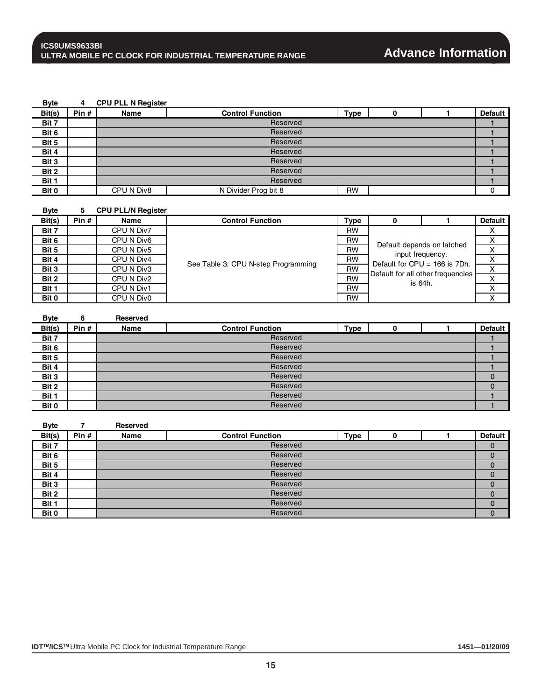**Byte 4 CPU PLL N Register Bit(s)** Pin # Name Name Control Function Type 0 1 Default **Bit 7** 1 **1 Direction and the contract of the contract of the contract of the contract of the contract of the contract of the contract of the contract of the contract of the contract of the contract of the contract of t Bit 6** 1 **Bit 5 1 Direction of the contract of the contract of the contract of the contract of the contract of the contract of the contract of the contract of the contract of the contract of the contract of the contract of the** Reserved **Reserved** Reserved

| DIL J |            | <b>NESEIVEU</b>      |           |  |
|-------|------------|----------------------|-----------|--|
| Bit 4 |            | Reserved             |           |  |
| Bit 3 | Reserved   |                      |           |  |
| Bit 2 | Reserved   |                      |           |  |
| Bit 1 | Reserved   |                      |           |  |
| Bit 0 | CPU N Div8 | N Divider Prog bit 8 | <b>RW</b> |  |

| <b>Byte</b> | 5.   | <b>CPU PLL/N Register</b> |                                     |                                         |                                                        |         |                |
|-------------|------|---------------------------|-------------------------------------|-----------------------------------------|--------------------------------------------------------|---------|----------------|
| Bit(s)      | Pin# | Name                      | <b>Control Function</b>             | <b>Type</b>                             |                                                        |         | <b>Default</b> |
| Bit 7       |      | CPU N Div7                |                                     | <b>RW</b>                               |                                                        |         |                |
| Bit 6       |      | CPU N Div6                |                                     | <b>RW</b><br>Default depends on latched | X                                                      |         |                |
| Bit 5       |      | CPU N Div5                |                                     | <b>RW</b>                               |                                                        | X       |                |
| Bit 4       |      | CPU N Div4                | See Table 3: CPU N-step Programming | <b>RW</b>                               | input frequency.<br>Default for $CPU = 166$ is $7Dh$ . | х       |                |
| Bit 3       |      | CPU N Div3                |                                     | <b>RW</b>                               | Default for all other frequencies                      | X       |                |
| Bit 2       |      | CPU N Div2                |                                     | <b>RW</b>                               |                                                        | is 64h. | X              |
| Bit 1       |      | CPU N Div1                |                                     | <b>RW</b>                               |                                                        |         | X              |
| Bit 0       |      | CPU N Div0                |                                     | <b>RW</b>                               |                                                        |         | x              |

| <b>Byte</b> | 6    | <b>Reserved</b> |                         |             |  |                |
|-------------|------|-----------------|-------------------------|-------------|--|----------------|
| Bit(s)      | Pin# | Name            | <b>Control Function</b> | <b>Type</b> |  | <b>Default</b> |
| Bit 7       |      |                 | Reserved                |             |  |                |
| Bit 6       |      |                 | Reserved                |             |  |                |
| Bit 5       |      |                 | Reserved                |             |  |                |
| Bit 4       |      |                 | Reserved                |             |  |                |
| Bit 3       |      |                 | Reserved                |             |  |                |
| Bit 2       |      |                 | Reserved                |             |  |                |
| Bit 1       |      |                 | Reserved                |             |  |                |
| Bit 0       |      |                 | Reserved                |             |  |                |

| <b>Byte</b> |       | <b>Reserved</b> |                         |             |  |                |
|-------------|-------|-----------------|-------------------------|-------------|--|----------------|
| Bit(s)      | Pin # | Name            | <b>Control Function</b> | <b>Type</b> |  | <b>Default</b> |
| Bit 7       |       |                 | Reserved                |             |  |                |
| Bit 6       |       |                 | Reserved                |             |  |                |
| Bit 5       |       |                 | Reserved                |             |  |                |
| Bit 4       |       |                 | Reserved                |             |  |                |
| Bit 3       |       |                 | Reserved                |             |  |                |
| Bit 2       |       |                 | Reserved                |             |  |                |
| Bit 1       |       |                 | Reserved                |             |  |                |
| Bit 0       |       |                 | Reserved                |             |  | 0              |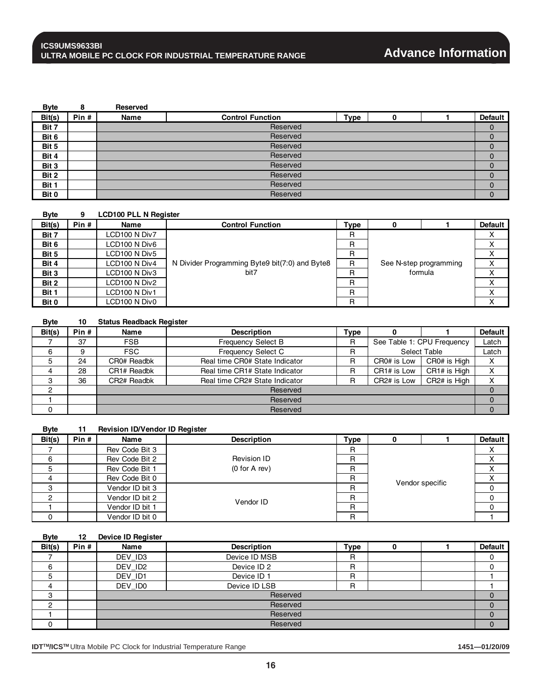| <b>Byte</b> |       | Reserved |                         |             |  |                |
|-------------|-------|----------|-------------------------|-------------|--|----------------|
| Bit(s)      | Pin # | Name     | <b>Control Function</b> | <b>Type</b> |  | <b>Default</b> |
| Bit 7       |       |          | Reserved                |             |  | O              |
| Bit 6       |       |          | Reserved                |             |  |                |
| Bit 5       |       |          | Reserved                |             |  | 0              |
| Bit 4       |       |          | Reserved                |             |  |                |
| Bit 3       |       |          | Reserved                |             |  | 0              |
| Bit 2       |       |          | Reserved                |             |  | 0              |
| Bit 1       |       |          | Reserved                |             |  | 0              |
| Bit 0       |       |          | Reserved                |             |  | 0              |

| <b>B</b> vte |       | <b>LCD100 PLL N Register</b> |                                                |             |                        |                |
|--------------|-------|------------------------------|------------------------------------------------|-------------|------------------------|----------------|
| Bit(s)       | Pin # | Name                         | <b>Control Function</b>                        | <b>Type</b> |                        | <b>Default</b> |
| Bit 7        |       | LCD100 N Div7                |                                                | R           |                        | х              |
| Bit 6        |       | LCD100 N Div6                |                                                | R           |                        | Χ              |
| Bit 5        |       | LCD100 N Div5                |                                                | R           |                        | x              |
| Bit 4        |       | LCD100 N Div4                | N Divider Programming Byte9 bit(7:0) and Byte8 | R           | See N-step programming | х              |
| Bit 3        |       | LCD100 N Div3                | bit7                                           | R           | formula                | X              |
| Bit 2        |       | LCD100 N Div2                |                                                | R           |                        | v              |
| Bit 1        |       | LCD100 N Div1                |                                                | R           |                        | x              |
| Bit 0        |       | LCD100 N Div0                |                                                | R           |                        | x              |

| <b>Byte</b> | 10    | <b>Status Readback Register</b> |                                |      |                            |              |                |  |
|-------------|-------|---------------------------------|--------------------------------|------|----------------------------|--------------|----------------|--|
| Bit(s)      | Pin # | Name                            | <b>Description</b>             | Type |                            |              | <b>Default</b> |  |
|             | 37    | <b>FSB</b>                      | <b>Frequency Select B</b>      | R    | See Table 1: CPU Frequency |              | Latch          |  |
| 6           |       | <b>FSC</b>                      | <b>Frequency Select C</b>      | R    | Select Table               |              | Latch          |  |
| 5           | 24    | CR0# Readbk                     | Real time CR0# State Indicator | R    | CR0# is Low                | CR0# is High | х              |  |
| 4           | 28    | CR1# Readbk                     | Real time CR1# State Indicator | R    | CR1# is Low                | CR1# is High | x              |  |
| З           | 36    | CR2# Readbk                     | Real time CR2# State Indicator | R    | CR <sub>2</sub> # is Low   | CR2# is High | Χ              |  |
|             |       |                                 | Reserved                       |      |                            |              |                |  |
|             |       |                                 | Reserved                       |      |                            |              |                |  |
|             |       |                                 | Reserved                       |      |                            |              |                |  |

#### **Byte 11 Revision ID/Vendor ID Register**

| Bit(s) | Pin# | Name            | <b>Description</b> | <b>Type</b> |  |                 | <b>Default</b> |  |
|--------|------|-----------------|--------------------|-------------|--|-----------------|----------------|--|
|        |      | Rev Code Bit 3  |                    | R           |  |                 | $\lambda$      |  |
| 6      |      | Rev Code Bit 2  | Revision ID        | R           |  |                 | ∧              |  |
| 5      |      | Rev Code Bit 1  | (0 for A rev)      | R           |  |                 |                |  |
|        |      | Rev Code Bit 0  |                    | R           |  |                 |                |  |
|        |      | Vendor ID bit 3 |                    | R           |  | Vendor specific |                |  |
|        |      | Vendor ID bit 2 | Vendor ID          | R           |  |                 |                |  |
|        |      | Vendor ID bit 1 |                    | R           |  |                 |                |  |
|        |      | Vendor ID bit 0 |                    | R           |  |                 |                |  |

#### **Byte 12 Device ID Register**

| Bit(s) | Pin # | Name    | <b>Description</b>     | <b>Type</b> |  |  | <b>Default</b> |  |
|--------|-------|---------|------------------------|-------------|--|--|----------------|--|
|        |       | DEV ID3 | Device ID MSB          | R           |  |  |                |  |
| 6      |       | DEV ID2 | Device ID <sub>2</sub> | R           |  |  |                |  |
| ১      |       | DEV ID1 | Device ID 1            | R           |  |  |                |  |
| 4      |       | DEV_ID0 | Device ID LSB          | R           |  |  |                |  |
| 3      |       |         | Reserved               |             |  |  |                |  |
| റ      |       |         | Reserved               |             |  |  |                |  |
|        |       |         | Reserved               |             |  |  |                |  |
| 0      |       |         | Reserved               |             |  |  |                |  |

**IDTTM/ICSTM** Ultra Mobile PC Clock for Industrial Temperature Range **1451—01/20/09**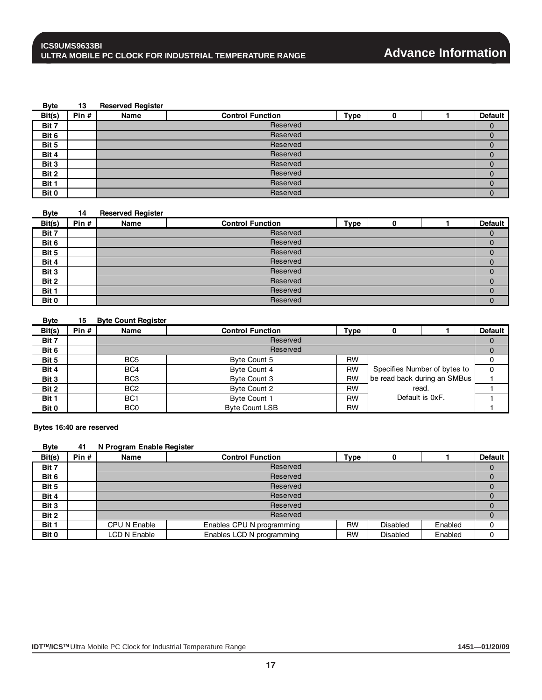#### **Byte 13 Reserved Register**

| Bit(s) | Pin# | Name     | <b>Control Function</b> | <b>Type</b> | O |  | <b>Default</b> |  |  |
|--------|------|----------|-------------------------|-------------|---|--|----------------|--|--|
| Bit 7  |      |          | Reserved                |             |   |  |                |  |  |
| Bit 6  |      |          | Reserved                |             |   |  |                |  |  |
| Bit 5  |      |          | Reserved                |             |   |  |                |  |  |
| Bit 4  |      |          | Reserved                |             |   |  |                |  |  |
| Bit 3  |      |          | Reserved                |             |   |  |                |  |  |
| Bit 2  |      | Reserved |                         |             |   |  |                |  |  |
| Bit 1  |      | Reserved |                         |             |   |  |                |  |  |
| Bit 0  |      |          | Reserved                |             |   |  | 0              |  |  |

#### **Byte 14 Reserved Register**

| Bit(s) | Pin# | Name     | <b>Control Function</b> | <b>Type</b> |  |  | <b>Default</b> |  |  |
|--------|------|----------|-------------------------|-------------|--|--|----------------|--|--|
| Bit 7  |      |          | Reserved                |             |  |  |                |  |  |
| Bit 6  |      |          | Reserved                |             |  |  |                |  |  |
| Bit 5  |      |          | Reserved                |             |  |  |                |  |  |
| Bit 4  |      |          | Reserved                |             |  |  |                |  |  |
| Bit 3  |      | Reserved |                         |             |  |  |                |  |  |
| Bit 2  |      | Reserved |                         |             |  |  |                |  |  |
| Bit 1  |      | Reserved |                         |             |  |  |                |  |  |
| Bit 0  |      |          | Reserved                |             |  |  | 0              |  |  |

#### **Byte 15 Byte Count Register** Bit(s) Pin # Name Name Control Function Type 0 1 Default **Bit 7** 0 **Bit 6** 0 **Bit 5**<br> **Bit 4** BC4 Byte Count 4 BC4 Byte Count 4 RW Specifies Number of bytes to 0 **Bit 4** BC4 Byte Count 4 RW Specifies Number of bytes to 0 **Bit 3** BIT BC3 Byte Count 3 RW 1 be read back during an SMBus 1 **Bit 2** BC2 Byte Count 2 RW read.<br> **Bit 1** BC1 Byte Count 1 RW Default is 0xF. **Bit 1** BC1 Byte Count 1 RW Default is 0xF. 1 **Bit 0** BC0 Byte Count LSB RW RW 1 **Reserved Reserved** read. Default is 0xF.

#### **Bytes 16:40 are reserved**

#### **Byte 41 N Program Enable Register**

| Bit(s) | Pin# | Name         | <b>Control Function</b>   | <b>Type</b> | O               |         | <b>Default</b> |  |
|--------|------|--------------|---------------------------|-------------|-----------------|---------|----------------|--|
| Bit 7  |      |              | Reserved                  |             |                 |         |                |  |
| Bit 6  |      |              | Reserved                  |             |                 |         |                |  |
| Bit 5  |      |              | Reserved                  |             |                 |         |                |  |
| Bit 4  |      |              | Reserved                  |             |                 |         |                |  |
| Bit 3  |      | Reserved     |                           |             |                 |         |                |  |
| Bit 2  |      | Reserved     |                           |             |                 |         |                |  |
| Bit 1  |      | CPU N Enable | Enables CPU N programming | <b>RW</b>   | <b>Disabled</b> | Enabled | 0              |  |
| Bit 0  |      | LCD N Enable | Enables LCD N programming | <b>RW</b>   | <b>Disabled</b> | Enabled |                |  |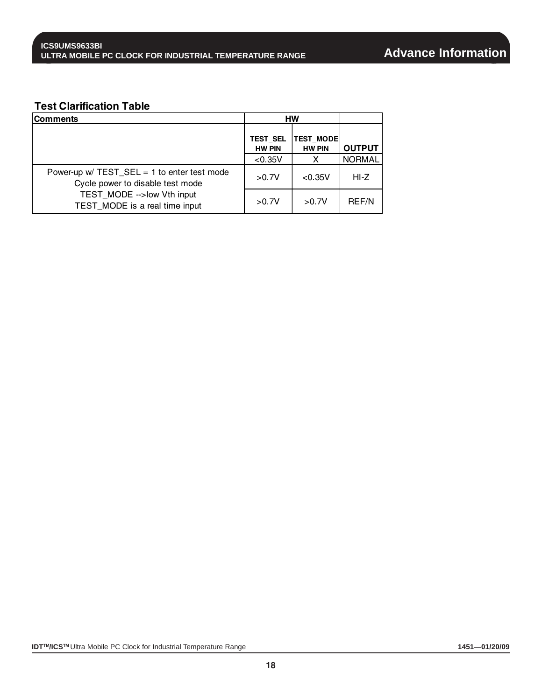#### **Test Clarification Table**

| <b>Comments</b>                                                                     |                                  | <b>HW</b>                         |               |
|-------------------------------------------------------------------------------------|----------------------------------|-----------------------------------|---------------|
|                                                                                     | <b>TEST SEL</b><br><b>HW PIN</b> | <b>TEST MODE</b><br><b>HW PIN</b> | <b>OUTPUT</b> |
|                                                                                     | < 0.35V                          | X                                 | <b>NORMAL</b> |
| Power-up $w / TEST\_SEL = 1$ to enter test mode<br>Cycle power to disable test mode | >0.7V                            | < 0.35V                           | HI-Z          |
| TEST MODE -- > low Vth input<br>TEST MODE is a real time input                      | >0.7V                            | >0.7V                             | <b>REF/N</b>  |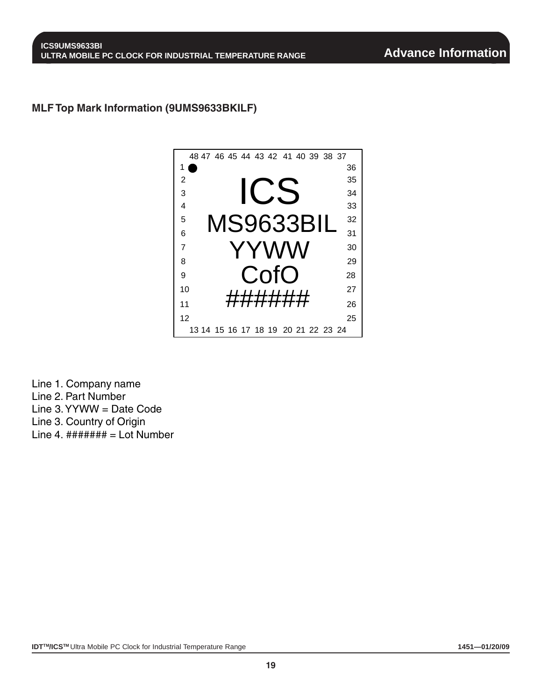#### **MLF Top Mark Information (9UMS9633BKILF)**



Line 1. Company name Line 2. Part Number Line 3. YYWW = Date Code Line 3. Country of Origin Line 4.  $\# \# \# \# \# \# =$  Lot Number

**IDT™/ICS™** Ultra Mobile PC Clock for Industrial Temperature Range **1451—01/20/09 1451—01/20/09**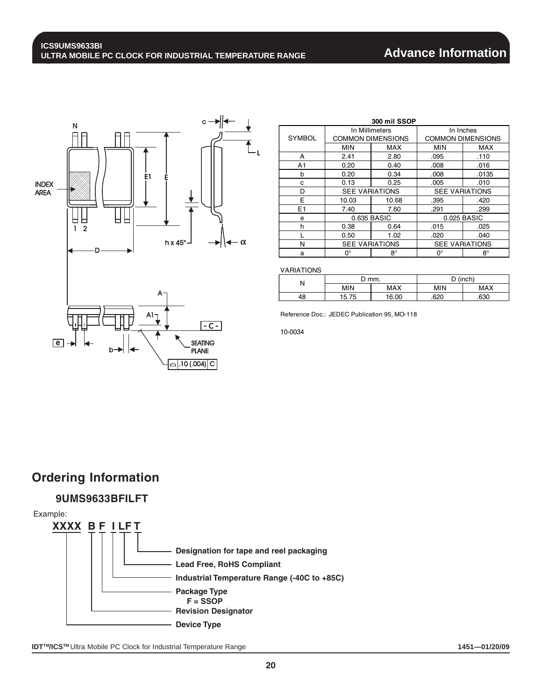## **Advance Information**



| 300 mil SSOP   |                       |                          |                          |           |  |  |
|----------------|-----------------------|--------------------------|--------------------------|-----------|--|--|
|                | In Millimeters        |                          | In Inches                |           |  |  |
| <b>SYMBOL</b>  |                       | <b>COMMON DIMENSIONS</b> | <b>COMMON DIMENSIONS</b> |           |  |  |
|                | <b>MIN</b>            | MAX                      | <b>MIN</b>               | MAX       |  |  |
| A              | 2.41                  | 2.80                     | .095                     | .110      |  |  |
| A1             | 0.20                  | 0.40                     | .008                     | .016      |  |  |
| b              | 0.20                  | 0.34                     | .008                     | .0135     |  |  |
| c              | 0.13                  | 0.25                     | .005                     | .010      |  |  |
| D              | <b>SEE VARIATIONS</b> |                          | <b>SEE VARIATIONS</b>    |           |  |  |
| E              | 10.03                 | 10.68                    | .395                     | .420      |  |  |
| E <sub>1</sub> | 7.40                  | 7.60                     | .291                     | .299      |  |  |
| e              |                       | 0.635 BASIC              | 0.025 BASIC              |           |  |  |
| h              | 0.38                  | 0.64                     | .015                     | .025      |  |  |
|                | 0.50                  | 1.02                     | .020                     | .040      |  |  |
| N              |                       | <b>SEE VARIATIONS</b>    | <b>SEE VARIATIONS</b>    |           |  |  |
| a              | $0^{\circ}$           | $8^{\circ}$              | 0°                       | $8^\circ$ |  |  |

VARIATIONS

|    |            | `mm.  | $D$ (inch) |            |
|----|------------|-------|------------|------------|
| Ν  | <b>MIN</b> | MAX   | <b>MIN</b> | <b>MAX</b> |
| 48 | 5.75       | 16.00 | 620        | .630       |

Reference Doc.: JEDEC Publication 95, MO-118

10-0034

## **Ordering Information**

#### **9UMS9633BFILFT**

Example:

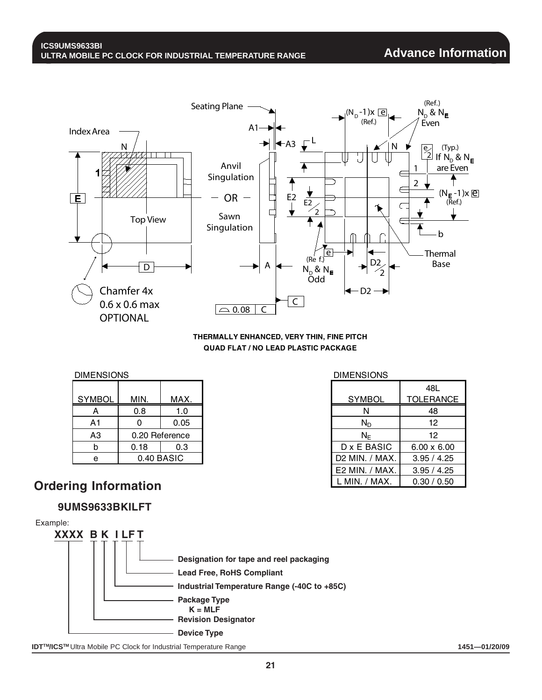

**THERMALLY ENHANCED, VERY THIN, FINE PITCH QUAD FLAT / NO LEAD PLASTIC PACKAGE**

**DIMENSIONS** 

| ------------   |      |                | ------------     |        |
|----------------|------|----------------|------------------|--------|
|                |      |                |                  | 48L    |
| <b>SYMBOL</b>  | MIN. | MAX.           | <b>SYMBOL</b>    | TOLER/ |
| A              | 0.8  | 1.0            | N                | 48     |
| A1             |      | 0.05           | $N_{\mathsf{D}}$ | 12     |
| A <sub>3</sub> |      | 0.20 Reference | ΝF               | 12     |
| b              | 0.18 | 0.3            | D x E BASIC      | 6.00x  |
| e              |      | 0.40 BASIC     | D2 MIN. / MAX.   | 3.95/  |

DIMENSIONS

|             |             |                |                | 48L                |
|-------------|-------------|----------------|----------------|--------------------|
| <b>IBOL</b> | MIN.        | MAX.           | <b>SYMBOL</b>  | <b>TOLERANCE</b>   |
| A           | 0.8         | 1.0            | N              | 48                 |
| ١1          | 0           | 0.05           | $N_D$          | 12                 |
| YЗ          |             | 0.20 Reference | $N_F$          | 12                 |
| þ           | 0.18        | 0.3            | D x E BASIC    | $6.00 \times 6.00$ |
| e           |             | 0.40 BASIC     | D2 MIN. / MAX. | 3.95 / 4.25        |
|             |             |                | E2 MIN. / MAX. | 3.95 / 4.25        |
|             | Information |                | MIN. / MAX.    | 0.30 / 0.50        |

## **Ordering Information**

#### **9UMS9633BKILFT**



**IDT<sup>™</sup>ICS<sup>™</sup> Ultra Mobile PC Clock for Industrial Temperature Range <b>1451—01/20/09 1451—01/20/09**